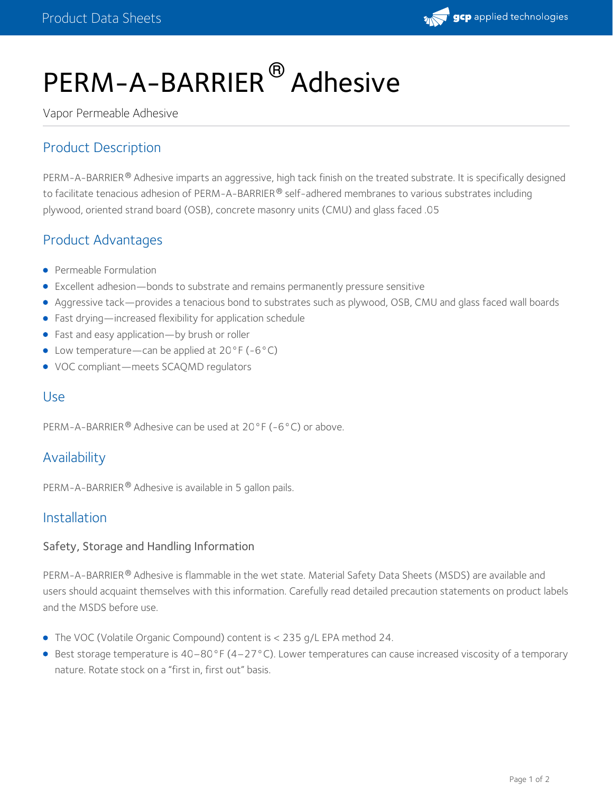

# PERM-A-BARRIER® Adhesive

Vapor Permeable Adhesive

# Product Description

<code>PERM-A-BARRIER®</code> Adhesive imparts an aggressive, high tack finish on the treated substrate. It is specifically designed to facilitate tenacious adhesion of PERM-A-BARRIER® self-adhered membranes to various substrates including plywood, oriented strand board (OSB), concrete masonry units (CMU) and glass faced .05

## Product Advantages

- **•** Permeable Formulation
- Excellent adhesion—bonds to substrate and remains permanently pressure sensitive
- Aggressive tack—provides a tenacious bond to substrates such as plywood, OSB, CMU and glass faced wall boards
- Fast drying—increased flexibility for application schedule
- Fast and easy application—by brush or roller
- Low temperature—can be applied at 20°F (-6°C)
- VOC compliant—meets SCAQMD regulators

## Use

PERM-A-BARRIER  $^{\circledR}$  Adhesive can be used at 20 $^{\circ}$ F (-6 $^{\circ}$ C) or above.

## Availability

PERM-A-BARRIER® Adhesive is available in 5 gallon pails.

## Installation

#### Safety, Storage and Handling Information

PERM-A-BARRIER® Adhesive is flammable in the wet state. Material Safety Data Sheets (MSDS) are available and users should acquaint themselves with this information. Carefully read detailed precaution statements on product labels and the MSDS before use.

- The VOC (Volatile Organic Compound) content is < 235 g/L EPA method 24.
- Best storage temperature is 40–80°F (4–27°C). Lower temperatures can cause increased viscosity of a temporary nature. Rotate stock on a "first in, first out" basis.